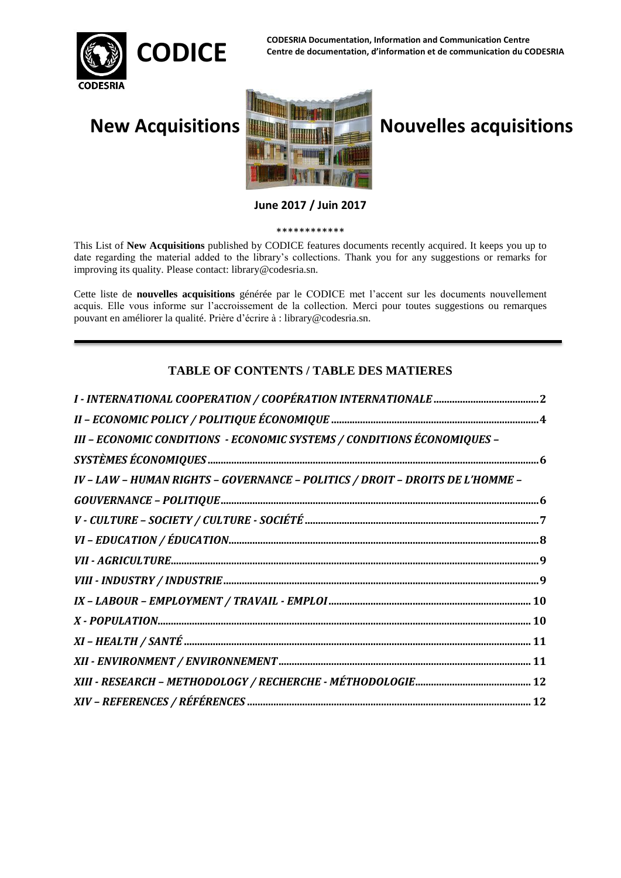

**CODESRIA Documentation, Information and Communication Centre**  CODICE CODESNIA Documentation, information and communication centre<br>CODICE Centre de documentation, d'information et de communication du CODESRIA



# **New Acquisitions Nouvelles acquisitions**

**June 2017 / Juin 2017**

\*\*\*\*\*\*\*\*\*\*\*\*

This List of **New Acquisitions** published by CODICE features documents recently acquired. It keeps you up to date regarding the material added to the library's collections. Thank you for any suggestions or remarks for improving its quality. Please contact: library@codesria.sn.

Cette liste de **nouvelles acquisitions** générée par le CODICE met l'accent sur les documents nouvellement acquis. Elle vous informe sur l'accroissement de la collection. Merci pour toutes suggestions ou remarques pouvant en améliorer la qualité. Prière d'écrire à : library@codesria.sn.

## **TABLE OF CONTENTS / TABLE DES MATIERES**

| III - ECONOMIC CONDITIONS - ECONOMIC SYSTEMS / CONDITIONS ÉCONOMIQUES -       |  |
|-------------------------------------------------------------------------------|--|
|                                                                               |  |
| IV - LAW - HUMAN RIGHTS - GOVERNANCE - POLITICS / DROIT - DROITS DE L'HOMME - |  |
|                                                                               |  |
|                                                                               |  |
|                                                                               |  |
|                                                                               |  |
|                                                                               |  |
|                                                                               |  |
|                                                                               |  |
|                                                                               |  |
|                                                                               |  |
|                                                                               |  |
|                                                                               |  |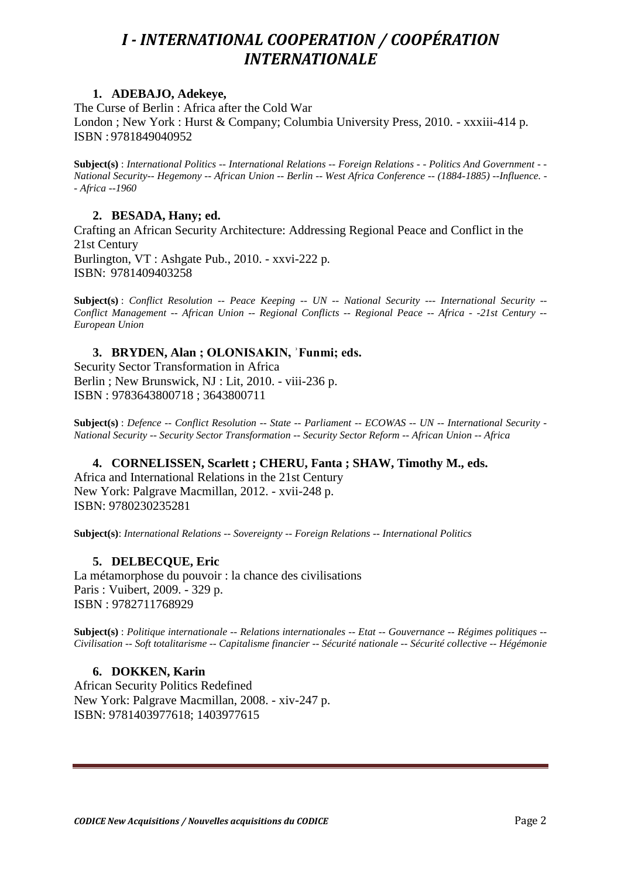# <span id="page-1-0"></span>*I - INTERNATIONAL COOPERATION / COOPÉRATION INTERNATIONALE*

## **1. ADEBAJO, Adekeye,**

The Curse of Berlin : Africa after the Cold War London ; New York : Hurst & Company; Columbia University Press, 2010. - xxxiii-414 p. ISBN : 9781849040952

**Subject(s)** : *International Politics -- International Relations -- Foreign Relations - - Politics And Government - - National Security-- Hegemony -- African Union -- Berlin -- West Africa Conference -- (1884-1885) --Influence. - - Africa --1960*

## **2. BESADA, Hany; ed.**

Crafting an African Security Architecture: Addressing Regional Peace and Conflict in the 21st Century Burlington, VT : Ashgate Pub., 2010. - xxvi-222 p. ISBN: 9781409403258

**Subject(s)** : *Conflict Resolution -- Peace Keeping -- UN -- National Security --- International Security -- Conflict Management -- African Union -- Regional Conflicts -- Regional Peace -- Africa - -21st Century -- European Union*

## **3. BRYDEN, Alan ; OLONISAKIN, ʾFunmi; eds.**

Security Sector Transformation in Africa Berlin ; New Brunswick, NJ : Lit, 2010. - viii-236 p. ISBN : 9783643800718 ; 3643800711

**Subject(s)** : *Defence -- Conflict Resolution -- State -- Parliament -- ECOWAS -- UN -- International Security - National Security -- Security Sector Transformation -- Security Sector Reform -- African Union -- Africa*

## **4. CORNELISSEN, Scarlett ; CHERU, Fanta ; SHAW, Timothy M., eds.**

Africa and International Relations in the 21st Century New York: Palgrave Macmillan, 2012. - xvii-248 p. ISBN: 9780230235281

**Subject(s)**: *International Relations -- Sovereignty -- Foreign Relations -- International Politics*

## **5. DELBECQUE, Eric**

La métamorphose du pouvoir : la chance des civilisations Paris : Vuibert, 2009. - 329 p. ISBN : 9782711768929

**Subject(s)** : *Politique internationale -- Relations internationales -- Etat -- Gouvernance -- Régimes politiques -- Civilisation -- Soft totalitarisme -- Capitalisme financier -- Sécurité nationale -- Sécurité collective -- Hégémonie*

## **6. DOKKEN, Karin**

African Security Politics Redefined New York: Palgrave Macmillan, 2008. - xiv-247 p. ISBN: 9781403977618; 1403977615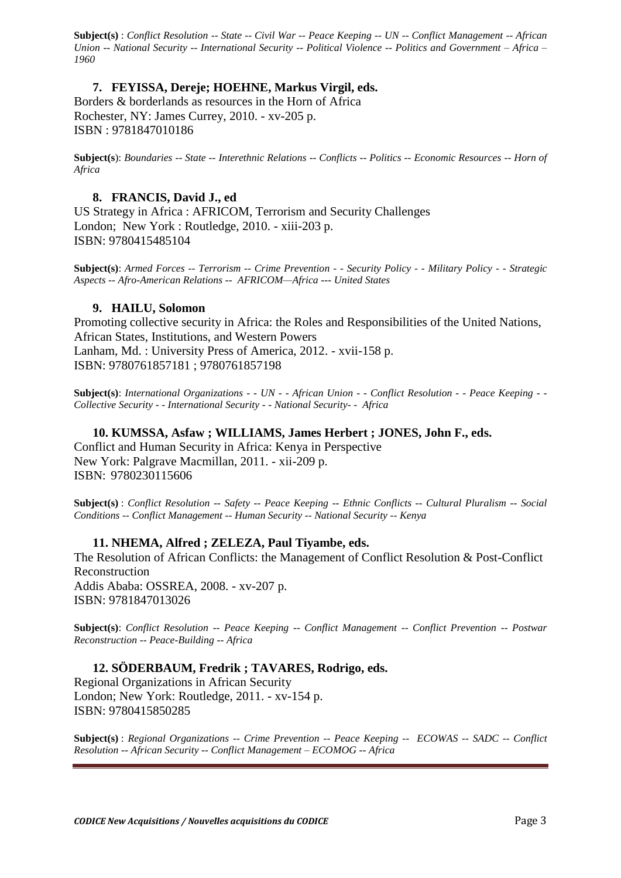**Subject(s)** : *Conflict Resolution -- State -- Civil War -- Peace Keeping -- UN -- Conflict Management -- African Union -- National Security -- International Security -- Political Violence -- Politics and Government – Africa – 1960*

## **7. FEYISSA, Dereje; HOEHNE, Markus Virgil, eds.**

Borders & borderlands as resources in the Horn of Africa Rochester, NY: James Currey, 2010. - xv-205 p. ISBN : 9781847010186

**Subject(s**): *Boundaries -- State -- Interethnic Relations -- Conflicts -- Politics -- Economic Resources -- Horn of Africa*

### **8. FRANCIS, David J., ed**

US Strategy in Africa : AFRICOM, Terrorism and Security Challenges London; New York : Routledge, 2010. - xiii-203 p. ISBN: 9780415485104

**Subject(s)**: *Armed Forces -- Terrorism -- Crime Prevention - - Security Policy - - Military Policy - - Strategic Aspects -- Afro-American Relations -- AFRICOM—Africa --- United States*

#### **9. HAILU, Solomon**

Promoting collective security in Africa: the Roles and Responsibilities of the United Nations, African States, Institutions, and Western Powers Lanham, Md. : University Press of America, 2012. - xvii-158 p. ISBN: 9780761857181 ; 9780761857198

**Subject(s)**: *International Organizations - - UN - - African Union - - Conflict Resolution - - Peace Keeping - - Collective Security - - International Security - - National Security- - Africa*

#### **10. KUMSSA, Asfaw ; WILLIAMS, James Herbert ; JONES, John F., eds.**

Conflict and Human Security in Africa: Kenya in Perspective New York: Palgrave Macmillan, 2011. - xii-209 p. ISBN: 9780230115606

**Subject(s)** : *Conflict Resolution -- Safety -- Peace Keeping -- Ethnic Conflicts -- Cultural Pluralism -- Social Conditions -- Conflict Management -- Human Security -- National Security -- Kenya*

## **11. NHEMA, Alfred ; ZELEZA, Paul Tiyambe, eds.**

The Resolution of African Conflicts: the Management of Conflict Resolution & Post-Conflict Reconstruction Addis Ababa: OSSREA, 2008. - xv-207 p. ISBN: 9781847013026

**Subject(s)**: *Conflict Resolution -- Peace Keeping -- Conflict Management -- Conflict Prevention -- Postwar Reconstruction -- Peace-Building -- Africa*

## **12. SÖDERBAUM, Fredrik ; TAVARES, Rodrigo, eds.**

Regional Organizations in African Security London; New York: Routledge, 2011. - xv-154 p. ISBN: 9780415850285

**Subject(s)** : *Regional Organizations -- Crime Prevention -- Peace Keeping -- ECOWAS -- SADC -- Conflict Resolution -- African Security -- Conflict Management – ECOMOG -- Africa*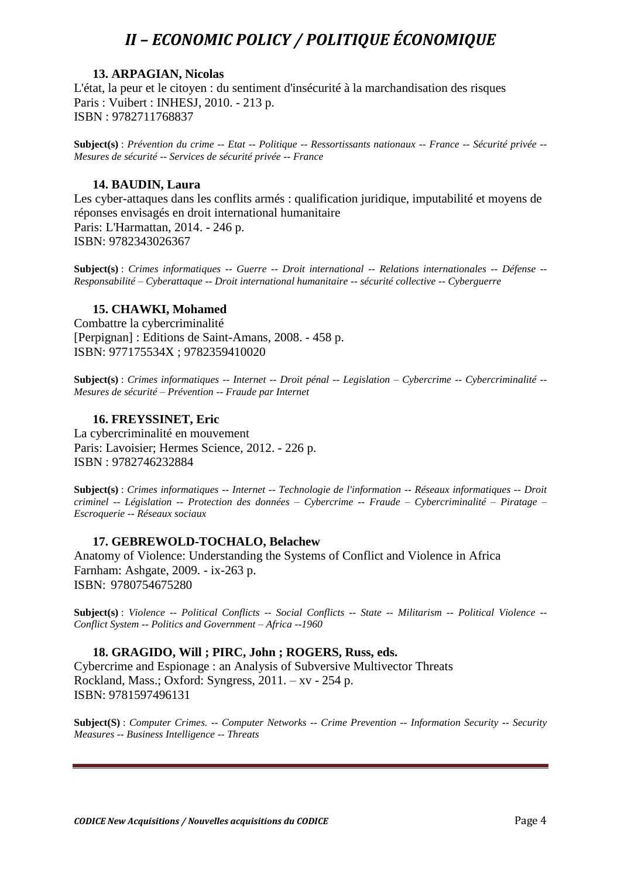# *II – ECONOMIC POLICY / POLITIQUE ÉCONOMIQUE*

## <span id="page-3-0"></span>**13. ARPAGIAN, Nicolas**

L'état, la peur et le citoyen : du sentiment d'insécurité à la marchandisation des risques Paris : Vuibert : INHESJ, 2010. - 213 p. ISBN : 9782711768837

**Subject(s)** : *Prévention du crime -- Etat -- Politique -- Ressortissants nationaux -- France -- Sécurité privée -- Mesures de sécurité -- Services de sécurité privée -- France*

## **14. BAUDIN, Laura**

Les cyber-attaques dans les conflits armés : qualification juridique, imputabilité et moyens de réponses envisagés en droit international humanitaire Paris: L'Harmattan, 2014. - 246 p. ISBN: 9782343026367

**Subject(s)** : *Crimes informatiques -- Guerre -- Droit international -- Relations internationales -- Défense -- Responsabilité – Cyberattaque -- Droit international humanitaire -- sécurité collective -- Cyberguerre*

## **15. CHAWKI, Mohamed**

Combattre la cybercriminalité [Perpignan] : Editions de Saint-Amans, 2008. - 458 p. ISBN: 977175534X ; 9782359410020

**Subject(s)** : *Crimes informatiques -- Internet -- Droit pénal -- Legislation – Cybercrime -- Cybercriminalité -- Mesures de sécurité – Prévention -- Fraude par Internet*

## **16. FREYSSINET, Eric**

La cybercriminalité en mouvement Paris: Lavoisier; Hermes Science, 2012. - 226 p. ISBN : 9782746232884

**Subject(s)** : *Crimes informatiques -- Internet -- Technologie de l'information -- Réseaux informatiques -- Droit criminel -- Législation -- Protection des données – Cybercrime -- Fraude – Cybercriminalité – Piratage – Escroquerie -- Réseaux sociaux*

## **17. GEBREWOLD-TOCHALO, Belachew**

Anatomy of Violence: Understanding the Systems of Conflict and Violence in Africa Farnham: Ashgate, 2009. - ix-263 p. ISBN: 9780754675280

**Subject(s)** : *Violence -- Political Conflicts -- Social Conflicts -- State -- Militarism -- Political Violence -- Conflict System -- Politics and Government – Africa --1960*

## **18. GRAGIDO, Will ; PIRC, John ; ROGERS, Russ, eds.**

Cybercrime and Espionage : an Analysis of Subversive Multivector Threats Rockland, Mass.; Oxford: Syngress, 2011. – xv - 254 p. ISBN: 9781597496131

**Subject(S)** : *Computer Crimes. -- Computer Networks -- Crime Prevention -- Information Security -- Security Measures -- Business Intelligence -- Threats*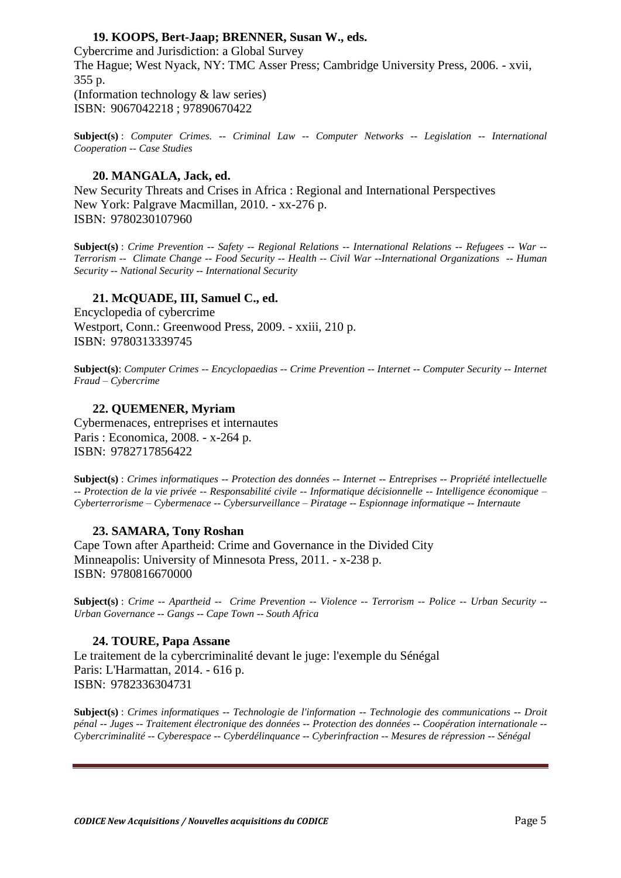### **19. KOOPS, Bert-Jaap; BRENNER, Susan W., eds.**

Cybercrime and Jurisdiction: a Global Survey The Hague; West Nyack, NY: TMC Asser Press; Cambridge University Press, 2006. - xvii, 355 p. (Information technology & law series) ISBN: 9067042218 ; 97890670422

**Subject(s)** : *Computer Crimes. -- Criminal Law -- Computer Networks -- Legislation -- International Cooperation -- Case Studies*

#### **20. MANGALA, Jack, ed.**

New Security Threats and Crises in Africa : Regional and International Perspectives New York: Palgrave Macmillan, 2010. - xx-276 p. ISBN: 9780230107960

**Subject(s)** : *Crime Prevention -- Safety -- Regional Relations -- International Relations -- Refugees -- War -- Terrorism -- Climate Change -- Food Security -- Health -- Civil War --International Organizations -- Human Security -- National Security -- International Security*

## **21. McQUADE, III, Samuel C., ed.**

Encyclopedia of cybercrime Westport, Conn.: Greenwood Press, 2009. - xxiii, 210 p. ISBN: 9780313339745

**Subject(s)**: *Computer Crimes -- Encyclopaedias -- Crime Prevention -- Internet -- Computer Security -- Internet Fraud – Cybercrime* 

#### **22. QUEMENER, Myriam**

Cybermenaces, entreprises et internautes Paris : Economica, 2008. - x-264 p. ISBN: 9782717856422

**Subject(s)** : *Crimes informatiques -- Protection des données -- Internet -- Entreprises -- Propriété intellectuelle -- Protection de la vie privée -- Responsabilité civile -- Informatique décisionnelle -- Intelligence économique – Cyberterrorisme – Cybermenace -- Cybersurveillance – Piratage -- Espionnage informatique -- Internaute*

#### **23. SAMARA, Tony Roshan**

Cape Town after Apartheid: Crime and Governance in the Divided City Minneapolis: University of Minnesota Press, 2011. - x-238 p. ISBN: 9780816670000

**Subject(s)** : *Crime -- Apartheid -- Crime Prevention -- Violence -- Terrorism -- Police -- Urban Security -- Urban Governance -- Gangs -- Cape Town -- South Africa*

#### **24. TOURE, Papa Assane**

Le traitement de la cybercriminalité devant le juge: l'exemple du Sénégal Paris: L'Harmattan, 2014. - 616 p. ISBN: 9782336304731

**Subject(s)** : *Crimes informatiques -- Technologie de l'information -- Technologie des communications -- Droit pénal -- Juges -- Traitement électronique des données -- Protection des données -- Coopération internationale -- Cybercriminalité -- Cyberespace -- Cyberdélinquance -- Cyberinfraction -- Mesures de répression -- Sénégal*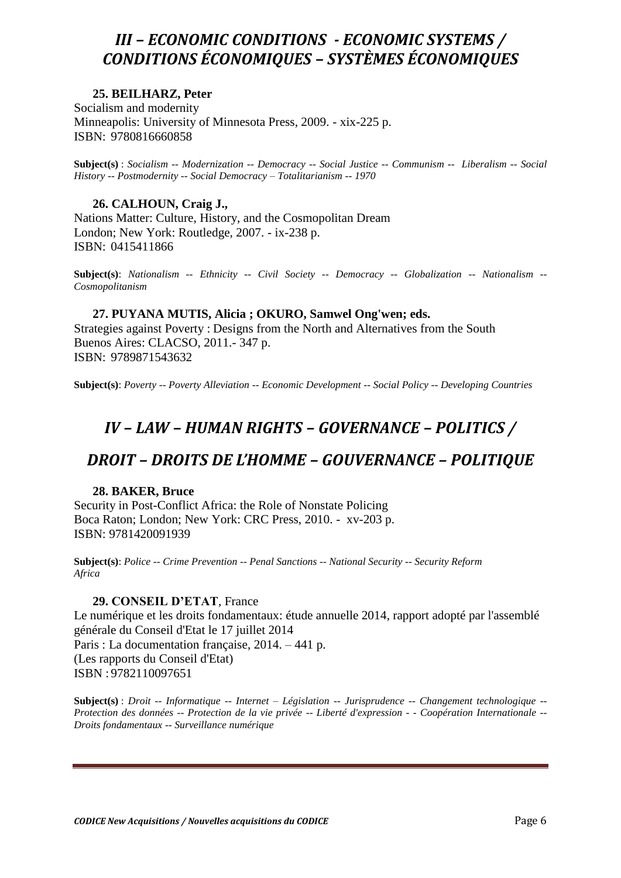## <span id="page-5-0"></span>*III – ECONOMIC CONDITIONS - ECONOMIC SYSTEMS / CONDITIONS ÉCONOMIQUES – SYSTÈMES ÉCONOMIQUES*

## **25. BEILHARZ, Peter**

Socialism and modernity Minneapolis: University of Minnesota Press, 2009. - xix-225 p. ISBN: 9780816660858

**Subject(s)** : *Socialism -- Modernization -- Democracy -- Social Justice -- Communism -- Liberalism -- Social History -- Postmodernity -- Social Democracy – Totalitarianism -- 1970*

## **26. CALHOUN, Craig J.,**

Nations Matter: Culture, History, and the Cosmopolitan Dream London; New York: Routledge, 2007. - ix-238 p. ISBN: 0415411866

**Subject(s)**: *Nationalism -- Ethnicity -- Civil Society -- Democracy -- Globalization -- Nationalism -- Cosmopolitanism*

## **27. PUYANA MUTIS, Alicia ; OKURO, Samwel Ong'wen; eds.**

Strategies against Poverty : Designs from the North and Alternatives from the South Buenos Aires: CLACSO, 2011.- 347 p. ISBN: 9789871543632

<span id="page-5-1"></span>**Subject(s)**: *Poverty -- Poverty Alleviation -- Economic Development -- Social Policy -- Developing Countries* 

## *IV – LAW – HUMAN RIGHTS – GOVERNANCE – POLITICS /*

## <span id="page-5-2"></span>*DROIT – DROITS DE L'HOMME – GOUVERNANCE – POLITIQUE*

## **28. BAKER, Bruce**

Security in Post-Conflict Africa: the Role of Nonstate Policing Boca Raton; London; New York: CRC Press, 2010. - xv-203 p. ISBN: 9781420091939

**Subject(s)**: *Police -- Crime Prevention -- Penal Sanctions -- National Security -- Security Reform Africa*

## **29. CONSEIL D'ETAT**, France

Le numérique et les droits fondamentaux: étude annuelle 2014, rapport adopté par l'assemblé générale du Conseil d'Etat le 17 juillet 2014 Paris : La documentation française, 2014. – 441 p. (Les rapports du Conseil d'Etat) ISBN : 9782110097651

**Subject(s)** : *Droit -- Informatique -- Internet – Législation -- Jurisprudence -- Changement technologique -- Protection des données -- Protection de la vie privée -- Liberté d'expression - - Coopération Internationale -- Droits fondamentaux -- Surveillance numérique*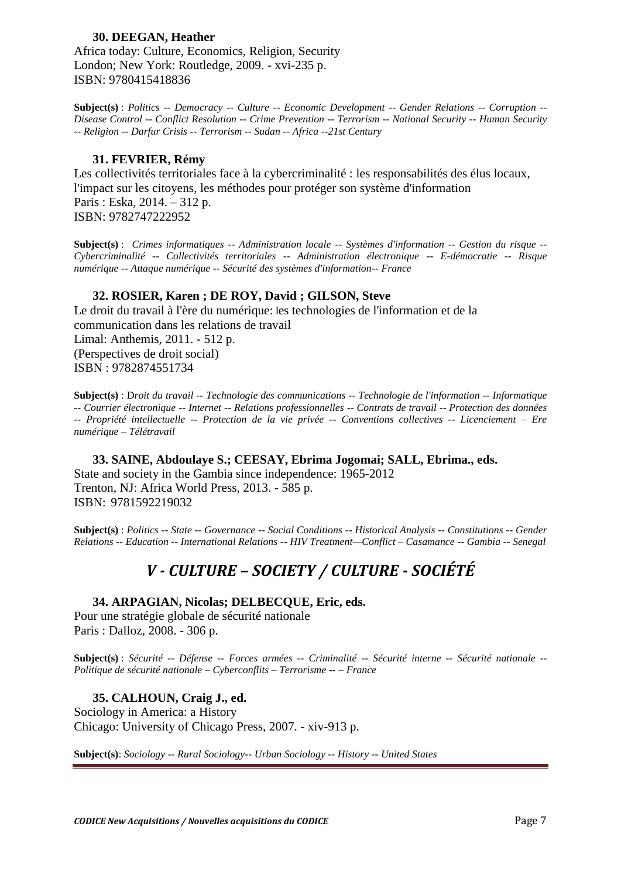#### **30. DEEGAN, Heather**

Africa today: Culture, Economics, Religion, Security London; New York: Routledge, 2009. - xvi-235 p. ISBN: 9780415418836

**Subject(s)** : *Politics -- Democracy -- Culture -- Economic Development -- Gender Relations -- Corruption -- Disease Control -- Conflict Resolution -- Crime Prevention -- Terrorism -- National Security -- Human Security -- Religion -- Darfur Crisis -- Terrorism -- Sudan -- Africa --21st Century*

#### **31. FEVRIER, Rémy**

Les collectivités territoriales face à la cybercriminalité : les responsabilités des élus locaux, l'impact sur les citoyens, les méthodes pour protéger son système d'information Paris : Eska, 2014. – 312 p. ISBN: 9782747222952

**Subject(s)** : *Crimes informatiques -- Administration locale -- Systèmes d'information -- Gestion du risque -- Cybercriminalité -- Collectivités territoriales -- Administration électronique -- E-démocratie -- Risque numérique -- Attaque numérique -- Sécurité des systèmes d'information-- France*

#### **32. ROSIER, Karen ; DE ROY, David ; GILSON, Steve**

Le droit du travail à l'ère du numérique: les technologies de l'information et de la communication dans les relations de travail Limal: Anthemis, 2011. - 512 p. (Perspectives de droit social) ISBN : 9782874551734

**Subject(s)** : D*roit du travail -- Technologie des communications -- Technologie de l'information -- Informatique -- Courrier électronique -- Internet -- Relations professionnelles -- Contrats de travail -- Protection des données -- Propriété intellectuelle -- Protection de la vie privée -- Conventions collectives -- Licenciement – Ere numérique – Télétravail* 

**33. SAINE, Abdoulaye S.; CEESAY, Ebrima Jogomai; SALL, Ebrima., eds.**  State and society in the Gambia since independence: 1965-2012 Trenton, NJ: Africa World Press, 2013. - 585 p. ISBN: 9781592219032

<span id="page-6-0"></span>**Subject(s)** : *Politics -- State -- Governance -- Social Conditions -- Historical Analysis -- Constitutions -- Gender Relations -- Education -- International Relations -- HIV Treatment—Conflict – Casamance -- Gambia -- Senegal*

## *V - CULTURE – SOCIETY / CULTURE - SOCIÉTÉ*

#### **34. ARPAGIAN, Nicolas; DELBECQUE, Eric, eds.**

Pour une stratégie globale de sécurité nationale Paris : Dalloz, 2008. - 306 p.

**Subject(s)** : *Sécurité -- Défense -- Forces armées -- Criminalité -- Sécurité interne -- Sécurité nationale -- Politique de sécurité nationale – Cyberconflits – Terrorisme -- – France*

#### **35. CALHOUN, Craig J., ed.**

Sociology in America: a History Chicago: University of Chicago Press, 2007. - xiv-913 p.

**Subject(s)**: *Sociology -- Rural Sociology-- Urban Sociology -- History -- United States*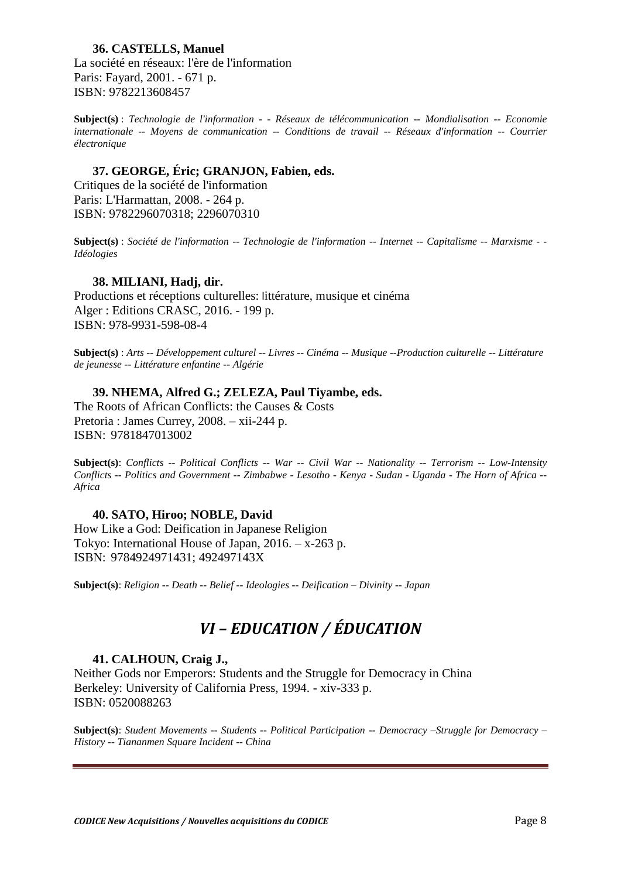#### **36. CASTELLS, Manuel**

La société en réseaux: l'ère de l'information Paris: Fayard, 2001. - 671 p. ISBN: 9782213608457

**Subject(s)** : *Technologie de l'information - - Réseaux de télécommunication -- Mondialisation -- Economie internationale -- Moyens de communication -- Conditions de travail -- Réseaux d'information -- Courrier électronique* 

## **37. GEORGE, Éric; GRANJON, Fabien, eds.**

Critiques de la société de l'information Paris: L'Harmattan, 2008. - 264 p. ISBN: 9782296070318; 2296070310

**Subject(s)** : *Société de l'information -- Technologie de l'information -- Internet -- Capitalisme -- Marxisme - - Idéologies*

## **38. MILIANI, Hadj, dir.**

Productions et réceptions culturelles: littérature, musique et cinéma Alger : Editions CRASC, 2016. - 199 p. ISBN: 978-9931-598-08-4

**Subject(s)** : *Arts -- Développement culturel -- Livres -- Cinéma -- Musique --Production culturelle -- Littérature de jeunesse -- Littérature enfantine -- Algérie*

## **39. NHEMA, Alfred G.; ZELEZA, Paul Tiyambe, eds.**

The Roots of African Conflicts: the Causes & Costs Pretoria : James Currey, 2008. – xii-244 p. ISBN: 9781847013002

**Subject(s)**: *Conflicts -- Political Conflicts -- War -- Civil War -- Nationality -- Terrorism -- Low-Intensity Conflicts -- Politics and Government -- Zimbabwe - Lesotho - Kenya - Sudan - Uganda - The Horn of Africa -- Africa*

## **40. SATO, Hiroo; NOBLE, David**

How Like a God: Deification in Japanese Religion Tokyo: International House of Japan, 2016. – x-263 p. ISBN: 9784924971431; 492497143X

<span id="page-7-0"></span>**Subject(s)**: *Religion -- Death -- Belief -- Ideologies -- Deification – Divinity -- Japan*

# *VI – EDUCATION / ÉDUCATION*

## **41. CALHOUN, Craig J.,**

Neither Gods nor Emperors: Students and the Struggle for Democracy in China Berkeley: University of California Press, 1994. - xiv-333 p. ISBN: 0520088263

**Subject(s)**: *Student Movements -- Students -- Political Participation -- Democracy –Struggle for Democracy – History -- Tiananmen Square Incident -- China*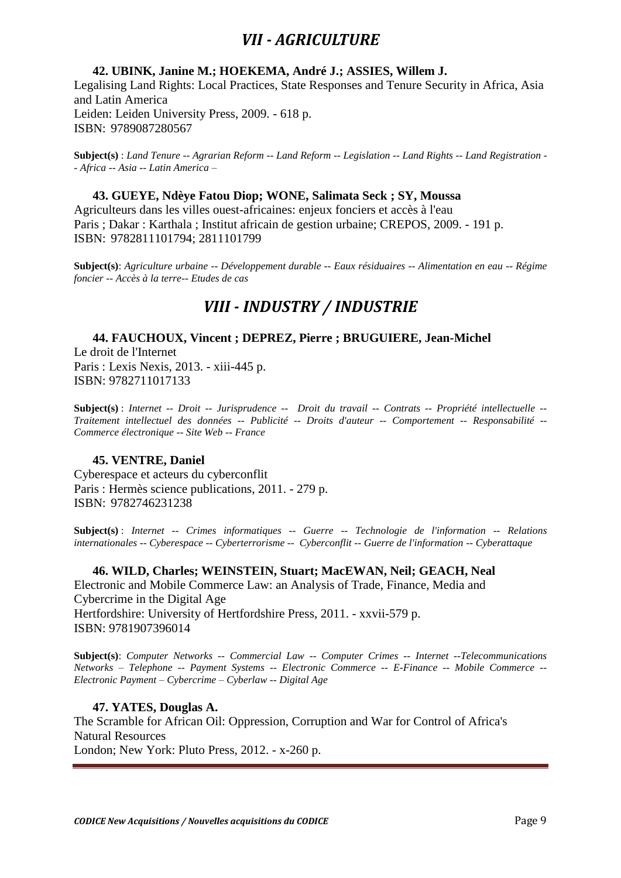## *VII - AGRICULTURE*

## <span id="page-8-0"></span>**42. UBINK, Janine M.; HOEKEMA, André J.; ASSIES, Willem J.**

Legalising Land Rights: Local Practices, State Responses and Tenure Security in Africa, Asia and Latin America Leiden: Leiden University Press, 2009. - 618 p. ISBN: 9789087280567

**Subject(s)** : *Land Tenure -- Agrarian Reform -- Land Reform -- Legislation -- Land Rights -- Land Registration - - Africa -- Asia -- Latin America* –

#### **43. GUEYE, Ndèye Fatou Diop; WONE, Salimata Seck ; SY, Moussa**

Agriculteurs dans les villes ouest-africaines: enjeux fonciers et accès à l'eau Paris ; Dakar : Karthala ; Institut africain de gestion urbaine; CREPOS, 2009. - 191 p. ISBN: 9782811101794; 2811101799

<span id="page-8-1"></span>**Subject(s)**: *Agriculture urbaine -- Développement durable -- Eaux résiduaires -- Alimentation en eau -- Régime foncier -- Accès à la terre-- Etudes de cas*

## *VIII - INDUSTRY / INDUSTRIE*

**44. FAUCHOUX, Vincent ; DEPREZ, Pierre ; BRUGUIERE, Jean-Michel** Le droit de l'Internet Paris : Lexis Nexis, 2013. - xiii-445 p. ISBN: 9782711017133

**Subject(s)** : *Internet -- Droit -- Jurisprudence -- Droit du travail -- Contrats -- Propriété intellectuelle -- Traitement intellectuel des données -- Publicité -- Droits d'auteur -- Comportement -- Responsabilité -- Commerce électronique -- Site Web -- France*

## **45. VENTRE, Daniel**

Cyberespace et acteurs du cyberconflit Paris : Hermès science publications, 2011. - 279 p. ISBN: 9782746231238

**Subject(s)** : *Internet -- Crimes informatiques -- Guerre -- Technologie de l'information -- Relations internationales -- Cyberespace -- Cyberterrorisme -- Cyberconflit -- Guerre de l'information -- Cyberattaque*

**46. WILD, Charles; WEINSTEIN, Stuart; MacEWAN, Neil; GEACH, Neal**  Electronic and Mobile Commerce Law: an Analysis of Trade, Finance, Media and Cybercrime in the Digital Age Hertfordshire: University of Hertfordshire Press, 2011. - xxvii-579 p. ISBN: 9781907396014

**Subject(s)**: *Computer Networks -- Commercial Law -- Computer Crimes -- Internet --Telecommunications Networks – Telephone -- Payment Systems -- Electronic Commerce -- E-Finance -- Mobile Commerce -- Electronic Payment – Cybercrime – Cyberlaw -- Digital Age*

#### **47. YATES, Douglas A.**

The Scramble for African Oil: Oppression, Corruption and War for Control of Africa's Natural Resources London; New York: Pluto Press, 2012. - x-260 p.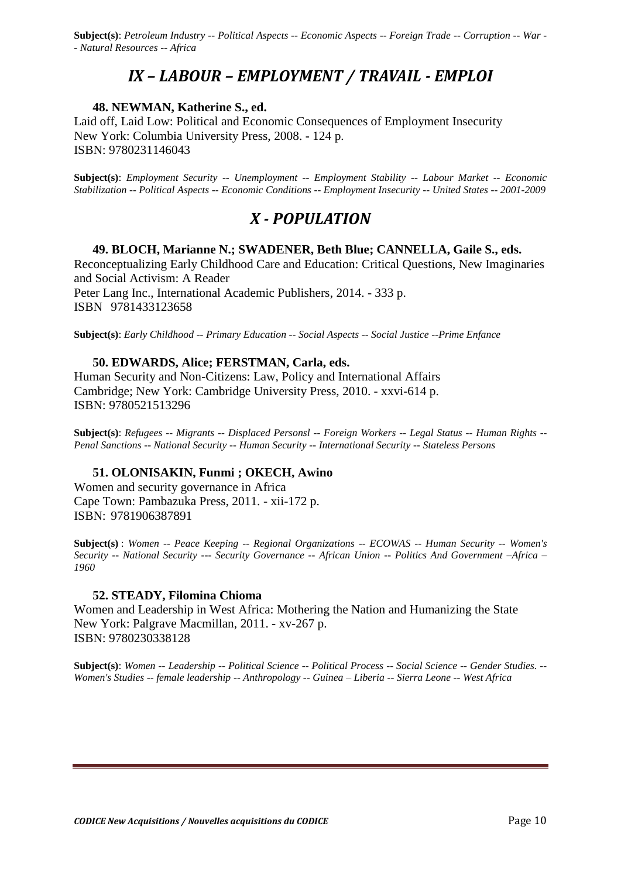<span id="page-9-0"></span>**Subject(s)**: *Petroleum Industry -- Political Aspects -- Economic Aspects -- Foreign Trade -- Corruption -- War - - Natural Resources -- Africa*

## *IX – LABOUR – EMPLOYMENT / TRAVAIL - EMPLOI*

## **48. NEWMAN, Katherine S., ed.**

Laid off, Laid Low: Political and Economic Consequences of Employment Insecurity New York: Columbia University Press, 2008. - 124 p. ISBN: 9780231146043

<span id="page-9-1"></span>**Subject(s)**: *Employment Security -- Unemployment -- Employment Stability -- Labour Market -- Economic Stabilization -- Political Aspects -- Economic Conditions -- Employment Insecurity -- United States -- 2001-2009*

## *X - POPULATION*

#### **49. BLOCH, Marianne N.; SWADENER, Beth Blue; CANNELLA, Gaile S., eds.**

Reconceptualizing Early Childhood Care and Education: Critical Questions, New Imaginaries and Social Activism: A Reader Peter Lang Inc., International Academic Publishers, 2014. - 333 p. ISBN 9781433123658

**Subject(s)**: *Early Childhood -- Primary Education -- Social Aspects -- Social Justice --Prime Enfance*

#### **50. EDWARDS, Alice; FERSTMAN, Carla, eds.**

Human Security and Non-Citizens: Law, Policy and International Affairs Cambridge; New York: Cambridge University Press, 2010. - xxvi-614 p. ISBN: 9780521513296

**Subject(s)**: *Refugees -- Migrants -- Displaced Personsl -- Foreign Workers -- Legal Status -- Human Rights -- Penal Sanctions -- National Security -- Human Security -- International Security -- Stateless Persons*

#### **51. OLONISAKIN, Funmi ; OKECH, Awino**

Women and security governance in Africa Cape Town: Pambazuka Press, 2011. - xii-172 p. ISBN: 9781906387891

**Subject(s)** : *Women -- Peace Keeping -- Regional Organizations -- ECOWAS -- Human Security -- Women's Security -- National Security --- Security Governance -- African Union -- Politics And Government –Africa – 1960*

#### **52. STEADY, Filomina Chioma**

Women and Leadership in West Africa: Mothering the Nation and Humanizing the State New York: Palgrave Macmillan, 2011. - xv-267 p. ISBN: 9780230338128

**Subject(s)**: *Women -- Leadership -- Political Science -- Political Process -- Social Science -- Gender Studies. -- Women's Studies -- female leadership -- Anthropology -- Guinea – Liberia -- Sierra Leone -- West Africa*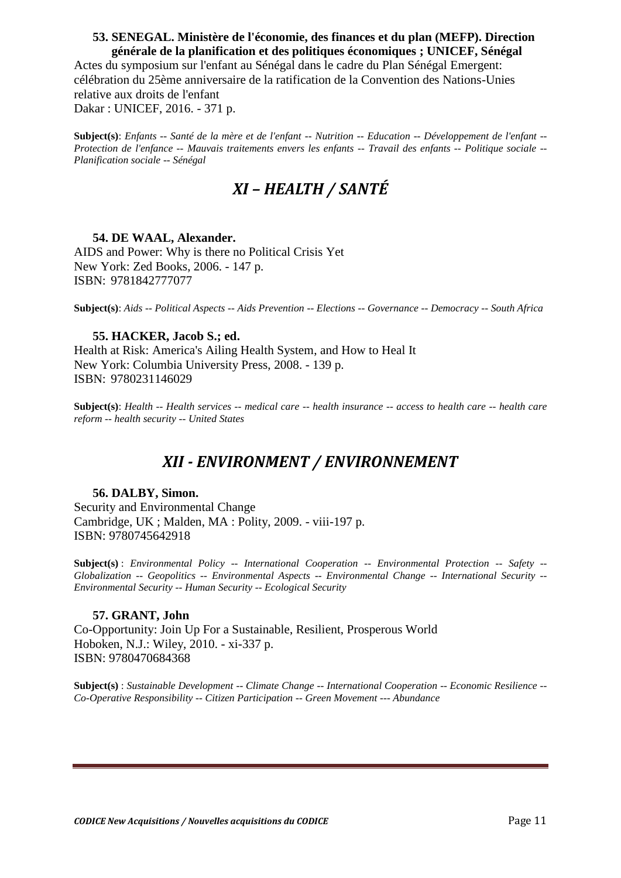## **53. SENEGAL. Ministère de l'économie, des finances et du plan (MEFP). Direction générale de la planification et des politiques économiques ; UNICEF, Sénégal**

Actes du symposium sur l'enfant au Sénégal dans le cadre du Plan Sénégal Emergent: célébration du 25ème anniversaire de la ratification de la Convention des Nations-Unies relative aux droits de l'enfant Dakar : UNICEF, 2016. - 371 p.

<span id="page-10-0"></span>**Subject(s)**: *Enfants -- Santé de la mère et de l'enfant -- Nutrition -- Education -- Développement de l'enfant -- Protection de l'enfance -- Mauvais traitements envers les enfants -- Travail des enfants -- Politique sociale -- Planification sociale -- Sénégal*

# *XI – HEALTH / SANTÉ*

## **54. DE WAAL, Alexander.**

AIDS and Power: Why is there no Political Crisis Yet New York: Zed Books, 2006. - 147 p. ISBN: 9781842777077

**Subject(s)**: *Aids -- Political Aspects -- Aids Prevention -- Elections -- Governance -- Democracy -- South Africa*

#### **55. HACKER, Jacob S.; ed.**

Health at Risk: America's Ailing Health System, and How to Heal It New York: Columbia University Press, 2008. - 139 p. ISBN: 9780231146029

<span id="page-10-1"></span>**Subject(s)**: *Health -- Health services -- medical care -- health insurance -- access to health care -- health care reform -- health security -- United States*

## *XII - ENVIRONMENT / ENVIRONNEMENT*

## **56. DALBY, Simon.**

Security and Environmental Change Cambridge, UK ; Malden, MA : Polity, 2009. - viii-197 p. ISBN: 9780745642918

**Subject(s)** : *Environmental Policy -- International Cooperation -- Environmental Protection -- Safety -- Globalization -- Geopolitics -- Environmental Aspects -- Environmental Change -- International Security -- Environmental Security -- Human Security -- Ecological Security*

## **57. GRANT, John**

Co-Opportunity: Join Up For a Sustainable, Resilient, Prosperous World Hoboken, N.J.: Wiley, 2010. - xi-337 p. ISBN: 9780470684368

**Subject(s)** : *Sustainable Development -- Climate Change -- International Cooperation -- Economic Resilience -- Co-Operative Responsibility -- Citizen Participation -- Green Movement --- Abundance*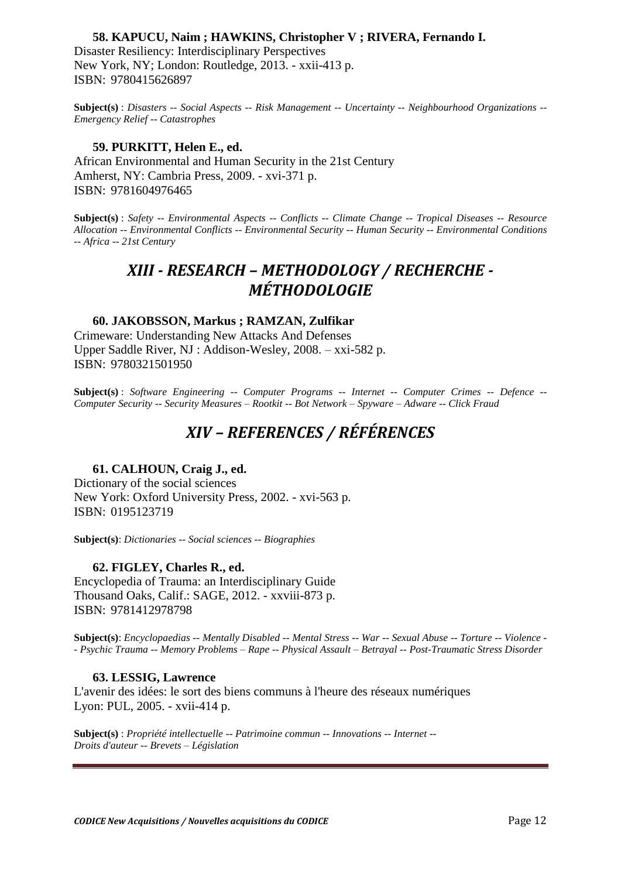## **58. KAPUCU, Naim ; HAWKINS, Christopher V ; RIVERA, Fernando I.**

Disaster Resiliency: Interdisciplinary Perspectives New York, NY; London: Routledge, 2013. - xxii-413 p. ISBN: 9780415626897

**Subject(s)** : *Disasters -- Social Aspects -- Risk Management -- Uncertainty -- Neighbourhood Organizations -- Emergency Relief -- Catastrophes*

### **59. PURKITT, Helen E., ed.**  African Environmental and Human Security in the 21st Century Amherst, NY: Cambria Press, 2009. - xvi-371 p.

ISBN: 9781604976465

<span id="page-11-0"></span>**Subject(s)** : *Safety -- Environmental Aspects -- Conflicts -- Climate Change -- Tropical Diseases -- Resource Allocation -- Environmental Conflicts -- Environmental Security -- Human Security -- Environmental Conditions -- Africa -- 21st Century*

## *XIII - RESEARCH – METHODOLOGY / RECHERCHE - MÉTHODOLOGIE*

## **60. JAKOBSSON, Markus ; RAMZAN, Zulfikar**

Crimeware: Understanding New Attacks And Defenses Upper Saddle River, NJ : Addison-Wesley, 2008. – xxi-582 p. ISBN: 9780321501950

<span id="page-11-1"></span>**Subject(s)** : *Software Engineering -- Computer Programs -- Internet -- Computer Crimes -- Defence -- Computer Security -- Security Measures – Rootkit -- Bot Network – Spyware – Adware -- Click Fraud*

# *XIV – REFERENCES / RÉFÉRENCES*

## **61. CALHOUN, Craig J., ed.**

Dictionary of the social sciences New York: Oxford University Press, 2002. - xvi-563 p. ISBN: 0195123719

**Subject(s)**: *Dictionaries -- Social sciences -- Biographies*

**62. FIGLEY, Charles R., ed.**  Encyclopedia of Trauma: an Interdisciplinary Guide Thousand Oaks, Calif.: SAGE, 2012. - xxviii-873 p. ISBN: 9781412978798

**Subject(s)**: *Encyclopaedias -- Mentally Disabled -- Mental Stress -- War -- Sexual Abuse -- Torture -- Violence - - Psychic Trauma -- Memory Problems – Rape -- Physical Assault – Betrayal -- Post-Traumatic Stress Disorder*

#### **63. LESSIG, Lawrence**

L'avenir des idées: le sort des biens communs à l'heure des réseaux numériques Lyon: PUL, 2005. - xvii-414 p.

**Subject(s)** : *Propriété intellectuelle -- Patrimoine commun -- Innovations -- Internet -- Droits d'auteur -- Brevets – Législation*